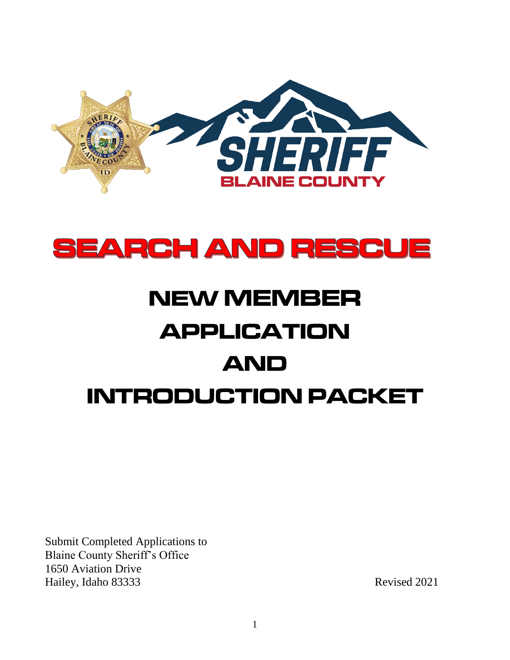



# **NEW MEMBER APPLICATION AND INTRODUCTION PACKET**

Submit Completed Applications to Blaine County Sheriff's Office 1650 Aviation Drive Hailey, Idaho 83333 Revised 2021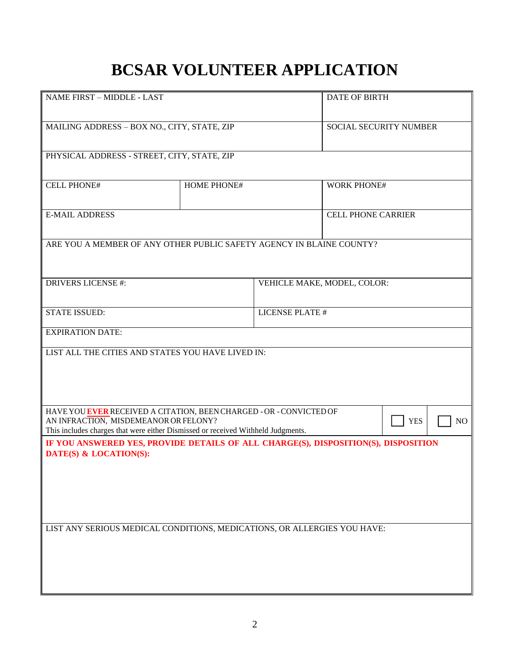# **BCSAR VOLUNTEER APPLICATION**

| NAME FIRST - MIDDLE - LAST                                                                                                                                                                       |                    |                       | <b>DATE OF BIRTH</b>        |    |  |
|--------------------------------------------------------------------------------------------------------------------------------------------------------------------------------------------------|--------------------|-----------------------|-----------------------------|----|--|
| MAILING ADDRESS - BOX NO., CITY, STATE, ZIP                                                                                                                                                      |                    |                       | SOCIAL SECURITY NUMBER      |    |  |
| PHYSICAL ADDRESS - STREET, CITY, STATE, ZIP                                                                                                                                                      |                    |                       |                             |    |  |
| <b>CELL PHONE#</b>                                                                                                                                                                               | <b>HOME PHONE#</b> |                       | <b>WORK PHONE#</b>          |    |  |
| <b>E-MAIL ADDRESS</b>                                                                                                                                                                            |                    |                       | <b>CELL PHONE CARRIER</b>   |    |  |
| ARE YOU A MEMBER OF ANY OTHER PUBLIC SAFETY AGENCY IN BLAINE COUNTY?                                                                                                                             |                    |                       |                             |    |  |
| <b>DRIVERS LICENSE #:</b>                                                                                                                                                                        |                    |                       | VEHICLE MAKE, MODEL, COLOR: |    |  |
| <b>STATE ISSUED:</b>                                                                                                                                                                             |                    | <b>LICENSE PLATE#</b> |                             |    |  |
| <b>EXPIRATION DATE:</b>                                                                                                                                                                          |                    |                       |                             |    |  |
| LIST ALL THE CITIES AND STATES YOU HAVE LIVED IN:                                                                                                                                                |                    |                       |                             |    |  |
| HAVE YOU EVER RECEIVED A CITATION, BEEN CHARGED - OR - CONVICTED OF<br>AN INFRACTION, MISDEMEANOR OR FELONY?<br>This includes charges that were either Dismissed or received Withheld Judgments. |                    |                       | <b>YES</b>                  | NO |  |
| IF YOU ANSWERED YES, PROVIDE DETAILS OF ALL CHARGE(S), DISPOSITION(S), DISPOSITION<br>DATE(S) & LOCATION(S):                                                                                     |                    |                       |                             |    |  |
| LIST ANY SERIOUS MEDICAL CONDITIONS, MEDICATIONS, OR ALLERGIES YOU HAVE:                                                                                                                         |                    |                       |                             |    |  |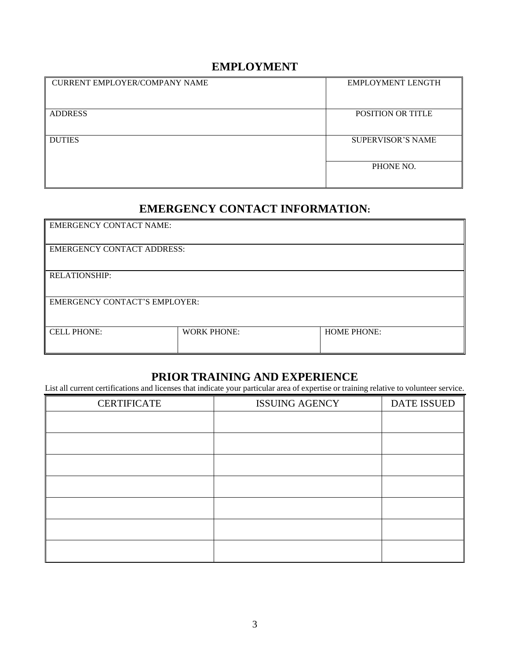### **EMPLOYMENT**

| <b>CURRENT EMPLOYER/COMPANY NAME</b> | <b>EMPLOYMENT LENGTH</b> |
|--------------------------------------|--------------------------|
|                                      |                          |
| <b>ADDRESS</b>                       | <b>POSITION OR TITLE</b> |
|                                      |                          |
| <b>DUTIES</b>                        | <b>SUPERVISOR'S NAME</b> |
|                                      | PHONE NO.                |
|                                      |                          |

### **EMERGENCY CONTACT INFORMATION:**

| <b>EMERGENCY CONTACT NAME:</b>       |                    |                    |  |
|--------------------------------------|--------------------|--------------------|--|
| <b>EMERGENCY CONTACT ADDRESS:</b>    |                    |                    |  |
| <b>RELATIONSHIP:</b>                 |                    |                    |  |
| <b>EMERGENCY CONTACT'S EMPLOYER:</b> |                    |                    |  |
| <b>CELL PHONE:</b>                   | <b>WORK PHONE:</b> | <b>HOME PHONE:</b> |  |

#### **PRIOR TRAINING AND EXPERIENCE**

List all current certifications and licenses that indicate your particular area of expertise or training relative to volunteer service.

| <b>CERTIFICATE</b> | <b>ISSUING AGENCY</b> | <b>DATE ISSUED</b> |
|--------------------|-----------------------|--------------------|
|                    |                       |                    |
|                    |                       |                    |
|                    |                       |                    |
|                    |                       |                    |
|                    |                       |                    |
|                    |                       |                    |
|                    |                       |                    |
|                    |                       |                    |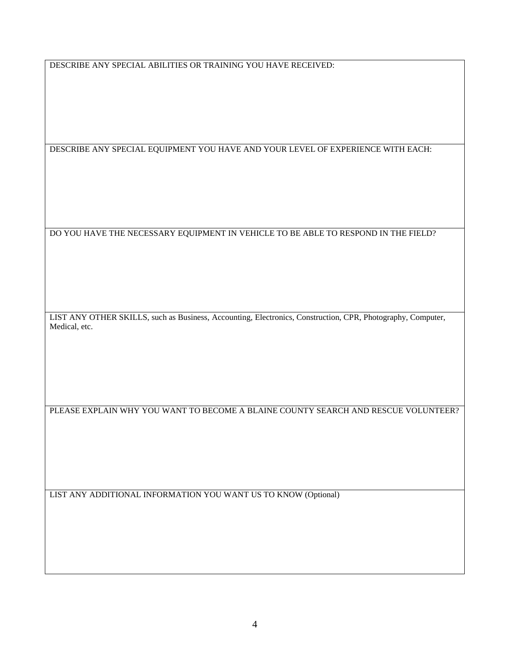DESCRIBE ANY SPECIAL ABILITIES OR TRAINING YOU HAVE RECEIVED:

DESCRIBE ANY SPECIAL EQUIPMENT YOU HAVE AND YOUR LEVEL OF EXPERIENCE WITH EACH:

DO YOU HAVE THE NECESSARY EQUIPMENT IN VEHICLE TO BE ABLE TO RESPOND IN THE FIELD?

LIST ANY OTHER SKILLS, such as Business, Accounting, Electronics, Construction, CPR, Photography, Computer, Medical, etc.

PLEASE EXPLAIN WHY YOU WANT TO BECOME A BLAINE COUNTY SEARCH AND RESCUE VOLUNTEER?

LIST ANY ADDITIONAL INFORMATION YOU WANT US TO KNOW (Optional)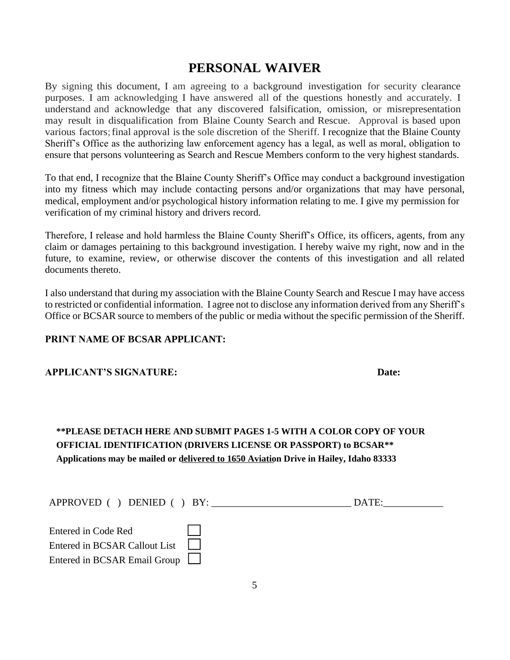## **PERSONAL WAIVER**

By signing this document, I am agreeing to a background investigation for security clearance purposes. I am acknowledging I have answered all of the questions honestly and accurately. I understand and acknowledge that any discovered falsification, omission, or misrepresentation may result in disqualification from Blaine County Search and Rescue. Approval is based upon various factors;final approval is the sole discretion of the Sheriff. I recognize that the Blaine County Sheriff's Office as the authorizing law enforcement agency has a legal, as well as moral, obligation to ensure that persons volunteering as Search and Rescue Members conform to the very highest standards.

To that end, I recognize that the Blaine County Sheriff's Office may conduct a background investigation into my fitness which may include contacting persons and/or organizations that may have personal, medical, employment and/or psychological history information relating to me. I give my permission for verification of my criminal history and drivers record.

Therefore, I release and hold harmless the Blaine County Sheriff's Office, its officers, agents, from any claim or damages pertaining to this background investigation. I hereby waive my right, now and in the future, to examine, review, or otherwise discover the contents of this investigation and all related documents thereto.

I also understand that during my association with the Blaine County Search and Rescue I may have access to restricted or confidential information. I agree not to disclose any information derived from any Sheriff's Office or BCSAR source to members of the public or media without the specific permission of the Sheriff.

#### **PRINT NAME OF BCSAR APPLICANT:**

| Date: |
|-------|
|       |

#### **\*\*PLEASE DETACH HERE AND SUBMIT PAGES 1-5 WITH A COLOR COPY OF YOUR OFFICIAL IDENTIFICATION (DRIVERS LICENSE OR PASSPORT) to BCSAR\*\* Applications may be mailed or delivered to 1650 Aviation Drive in Hailey, Idaho 83333**

| APPROVED () DENIED () BY:     | DATE: |
|-------------------------------|-------|
| Entered in Code Red           |       |
| Entered in BCSAR Callout List |       |
| Entered in BCSAR Email Group  |       |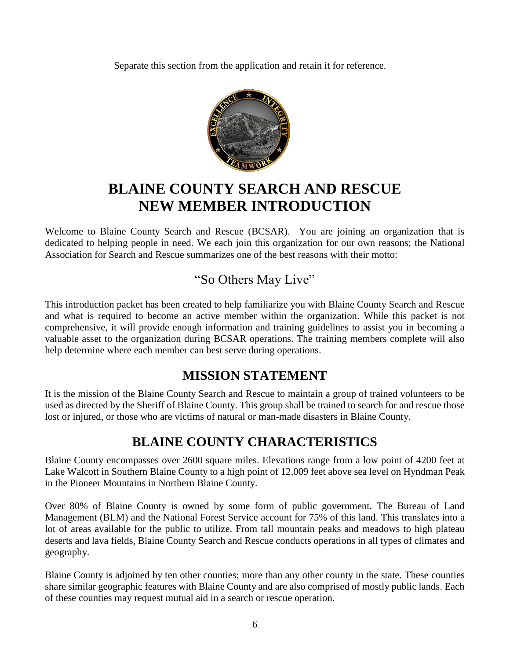Separate this section from the application and retain it for reference.



# **BLAINE COUNTY SEARCH AND RESCUE NEW MEMBER INTRODUCTION**

Welcome to Blaine County Search and Rescue (BCSAR). You are joining an organization that is dedicated to helping people in need. We each join this organization for our own reasons; the National Association for Search and Rescue summarizes one of the best reasons with their motto:

## "So Others May Live"

This introduction packet has been created to help familiarize you with Blaine County Search and Rescue and what is required to become an active member within the organization. While this packet is not comprehensive, it will provide enough information and training guidelines to assist you in becoming a valuable asset to the organization during BCSAR operations. The training members complete will also help determine where each member can best serve during operations.

## **MISSION STATEMENT**

It is the mission of the Blaine County Search and Rescue to maintain a group of trained volunteers to be used as directed by the Sheriff of Blaine County. This group shall be trained to search for and rescue those lost or injured, or those who are victims of natural or man-made disasters in Blaine County.

## **BLAINE COUNTY CHARACTERISTICS**

Blaine County encompasses over 2600 square miles. Elevations range from a low point of 4200 feet at Lake Walcott in Southern Blaine County to a high point of 12,009 feet above sea level on Hyndman Peak in the Pioneer Mountains in Northern Blaine County.

Over 80% of Blaine County is owned by some form of public government. The Bureau of Land Management (BLM) and the National Forest Service account for 75% of this land. This translates into a lot of areas available for the public to utilize. From tall mountain peaks and meadows to high plateau deserts and lava fields, Blaine County Search and Rescue conducts operations in all types of climates and geography.

Blaine County is adjoined by ten other counties; more than any other county in the state. These counties share similar geographic features with Blaine County and are also comprised of mostly public lands. Each of these counties may request mutual aid in a search or rescue operation.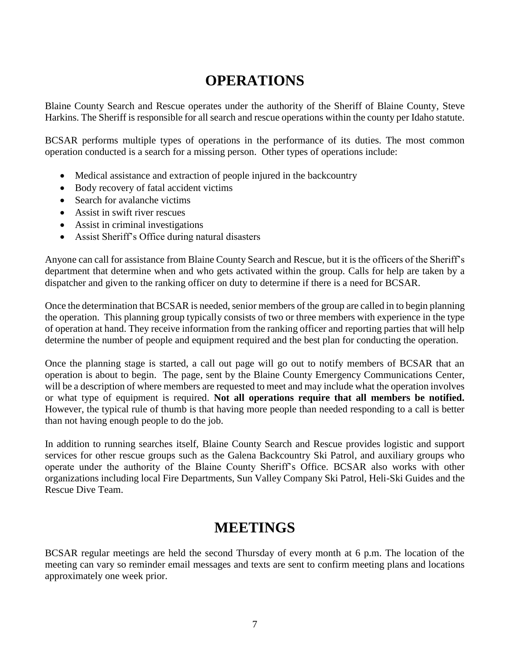# **OPERATIONS**

Blaine County Search and Rescue operates under the authority of the Sheriff of Blaine County, Steve Harkins. The Sheriff is responsible for all search and rescue operations within the county per Idaho statute.

BCSAR performs multiple types of operations in the performance of its duties. The most common operation conducted is a search for a missing person. Other types of operations include:

- Medical assistance and extraction of people injured in the backcountry
- Body recovery of fatal accident victims
- Search for avalanche victims
- Assist in swift river rescues
- Assist in criminal investigations
- Assist Sheriff's Office during natural disasters

Anyone can call for assistance from Blaine County Search and Rescue, but it is the officers of the Sheriff's department that determine when and who gets activated within the group. Calls for help are taken by a dispatcher and given to the ranking officer on duty to determine if there is a need for BCSAR.

Once the determination that BCSAR is needed, senior members of the group are called in to begin planning the operation. This planning group typically consists of two or three members with experience in the type of operation at hand. They receive information from the ranking officer and reporting parties that will help determine the number of people and equipment required and the best plan for conducting the operation.

Once the planning stage is started, a call out page will go out to notify members of BCSAR that an operation is about to begin. The page, sent by the Blaine County Emergency Communications Center, will be a description of where members are requested to meet and may include what the operation involves or what type of equipment is required. **Not all operations require that all members be notified.** However, the typical rule of thumb is that having more people than needed responding to a call is better than not having enough people to do the job.

In addition to running searches itself, Blaine County Search and Rescue provides logistic and support services for other rescue groups such as the Galena Backcountry Ski Patrol, and auxiliary groups who operate under the authority of the Blaine County Sheriff's Office. BCSAR also works with other organizations including local Fire Departments, Sun Valley Company Ski Patrol, Heli-Ski Guides and the Rescue Dive Team.

# **MEETINGS**

BCSAR regular meetings are held the second Thursday of every month at 6 p.m. The location of the meeting can vary so reminder email messages and texts are sent to confirm meeting plans and locations approximately one week prior.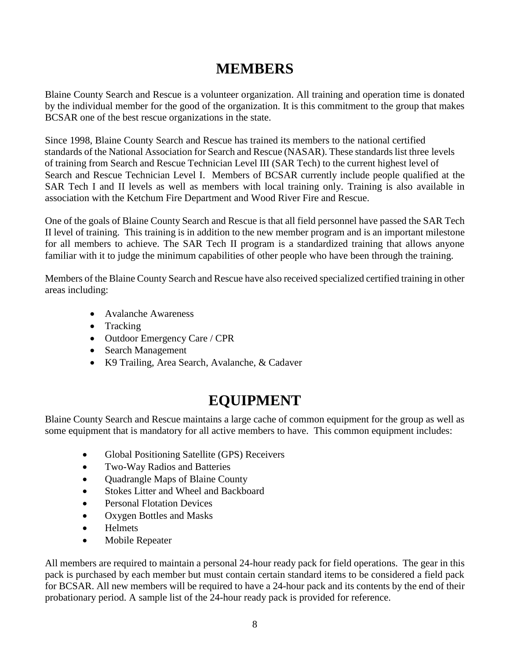# **MEMBERS**

Blaine County Search and Rescue is a volunteer organization. All training and operation time is donated by the individual member for the good of the organization. It is this commitment to the group that makes BCSAR one of the best rescue organizations in the state.

Since 1998, Blaine County Search and Rescue has trained its members to the national certified standards of the National Association for Search and Rescue (NASAR). These standards list three levels of training from Search and Rescue Technician Level III (SAR Tech) to the current highest level of Search and Rescue Technician Level I. Members of BCSAR currently include people qualified at the SAR Tech I and II levels as well as members with local training only. Training is also available in association with the Ketchum Fire Department and Wood River Fire and Rescue.

One of the goals of Blaine County Search and Rescue is that all field personnel have passed the SAR Tech II level of training. This training is in addition to the new member program and is an important milestone for all members to achieve. The SAR Tech II program is a standardized training that allows anyone familiar with it to judge the minimum capabilities of other people who have been through the training.

Members of the Blaine County Search and Rescue have also received specialized certified training in other areas including:

- Avalanche Awareness
- Tracking
- Outdoor Emergency Care / CPR
- Search Management
- K9 Trailing, Area Search, Avalanche, & Cadaver

# **EQUIPMENT**

Blaine County Search and Rescue maintains a large cache of common equipment for the group as well as some equipment that is mandatory for all active members to have. This common equipment includes:

- Global Positioning Satellite (GPS) Receivers
- Two-Way Radios and Batteries
- Quadrangle Maps of Blaine County
- Stokes Litter and Wheel and Backboard
- Personal Flotation Devices
- Oxygen Bottles and Masks
- Helmets
- Mobile Repeater

All members are required to maintain a personal 24-hour ready pack for field operations. The gear in this pack is purchased by each member but must contain certain standard items to be considered a field pack for BCSAR. All new members will be required to have a 24-hour pack and its contents by the end of their probationary period. A sample list of the 24-hour ready pack is provided for reference.